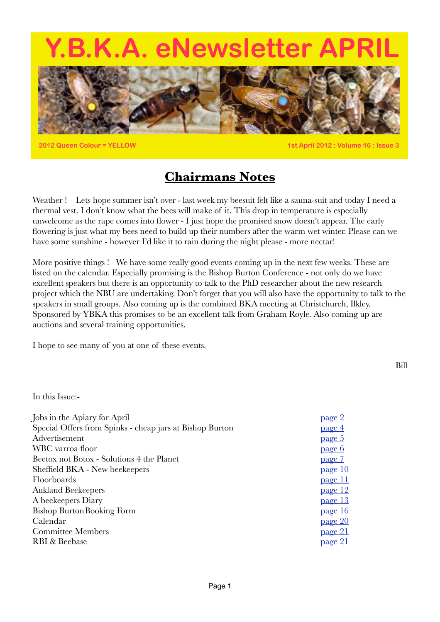# **Y.A. eNewsletter A**



**2012 Queen Colour = YELLOW 1st April 2012 : Volume 16 : Issue 3**

### **Chairmans Notes**

Weather ! Lets hope summer isn't over - last week my beesuit felt like a sauna-suit and today I need a thermal vest. I don't know what the bees will make of it. This drop in temperature is especially unwelcome as the rape comes into flower - I just hope the promised snow doesn't appear. The early flowering is just what my bees need to build up their numbers after the warm wet winter. Please can we have some sunshine - however I'd like it to rain during the night please - more nectar!

More positive things ! We have some really good events coming up in the next few weeks. These are listed on the calendar. Especially promising is the Bishop Burton Conference - not only do we have excellent speakers but there is an opportunity to talk to the PhD researcher about the new research project which the NBU are undertaking. Don't forget that you will also have the opportunity to talk to the speakers in small groups. Also coming up is the combined BKA meeting at Christchurch, Ilkley. Sponsored by YBKA this promises to be an excellent talk from Graham Royle. Also coming up are auctions and several training opportunities.

I hope to see many of you at one of these events.

Bill

#### In this Issue:-

<span id="page-0-0"></span>

| Jobs in the Apiary for April                             | page 2         |
|----------------------------------------------------------|----------------|
| Special Offers from Spinks - cheap jars at Bishop Burton | <u>page 4</u>  |
| Advertisement                                            | <u>page 5</u>  |
| WBC varroa floor                                         | <u>page 6</u>  |
| Beetox not Botox - Solutions 4 the Planet                | page 7         |
| Sheffield BKA - New beekeepers                           | page 10        |
| Floorboards                                              | page 11        |
| <b>Aukland Beekeepers</b>                                | page 12        |
| A beekeepers Diary                                       | page 13        |
| <b>Bishop Burton Booking Form</b>                        | page 16        |
| Calendar                                                 | <u>page 20</u> |
| <b>Committee Members</b>                                 | page 21        |
| RBI & Beebase                                            | page 21        |
|                                                          |                |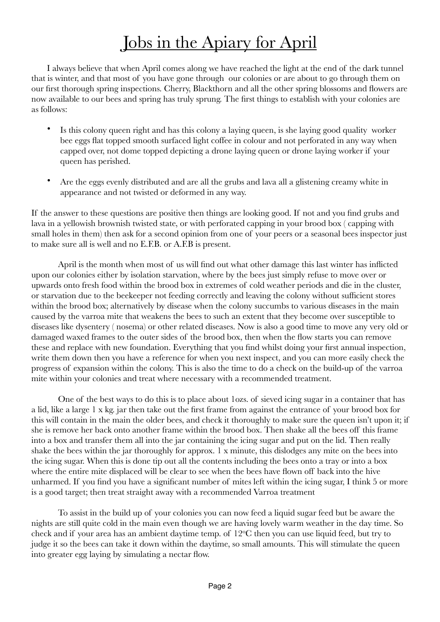### <span id="page-1-0"></span>Jobs in the Apiary for April

I always believe that when April comes along we have reached the light at the end of the dark tunnel that is winter, and that most of you have gone through our colonies or are about to go through them on our first thorough spring inspections. Cherry, Blackthorn and all the other spring blossoms and flowers are now available to our bees and spring has truly sprung. The first things to establish with your colonies are as follows:

- Is this colony queen right and has this colony a laying queen, is she laying good quality worker bee eggs flat topped smooth surfaced light coffee in colour and not perforated in any way when capped over, not dome topped depicting a drone laying queen or drone laying worker if your queen has perished.
- Are the eggs evenly distributed and are all the grubs and lava all a glistening creamy white in appearance and not twisted or deformed in any way.

If the answer to these questions are positive then things are looking good. If not and you find grubs and lava in a yellowish brownish twisted state, or with perforated capping in your brood box ( capping with small holes in them) then ask for a second opinion from one of your peers or a seasonal bees inspector just to make sure all is well and no E.F.B. or A.F.B is present.

April is the month when most of us will find out what other damage this last winter has inflicted upon our colonies either by isolation starvation, where by the bees just simply refuse to move over or upwards onto fresh food within the brood box in extremes of cold weather periods and die in the cluster, or starvation due to the beekeeper not feeding correctly and leaving the colony without sufficient stores within the brood box; alternatively by disease when the colony succumbs to various diseases in the main caused by the varroa mite that weakens the bees to such an extent that they become over susceptible to diseases like dysentery ( nosema) or other related diseases. Now is also a good time to move any very old or damaged waxed frames to the outer sides of the brood box, then when the flow starts you can remove these and replace with new foundation. Everything that you find whilst doing your first annual inspection, write them down then you have a reference for when you next inspect, and you can more easily check the progress of expansion within the colony. This is also the time to do a check on the build-up of the varroa mite within your colonies and treat where necessary with a recommended treatment.

One of the best ways to do this is to place about 1ozs. of sieved icing sugar in a container that has a lid, like a large 1 x kg. jar then take out the first frame from against the entrance of your brood box for this will contain in the main the older bees, and check it thoroughly to make sure the queen isn't upon it; if she is remove her back onto another frame within the brood box. Then shake all the bees off this frame into a box and transfer them all into the jar containing the icing sugar and put on the lid. Then really shake the bees within the jar thoroughly for approx. 1 x minute, this dislodges any mite on the bees into the icing sugar. When this is done tip out all the contents including the bees onto a tray or into a box where the entire mite displaced will be clear to see when the bees have flown off back into the hive unharmed. If you find you have a significant number of mites left within the icing sugar, I think 5 or more is a good target; then treat straight away with a recommended Varroa treatment

To assist in the build up of your colonies you can now feed a liquid sugar feed but be aware the nights are still quite cold in the main even though we are having lovely warm weather in the day time. So check and if your area has an ambient daytime temp. of 12<sup>o</sup>C then you can use liquid feed, but try to judge it so the bees can take it down within the daytime, so small amounts. This will stimulate the queen into greater egg laying by simulating a nectar flow.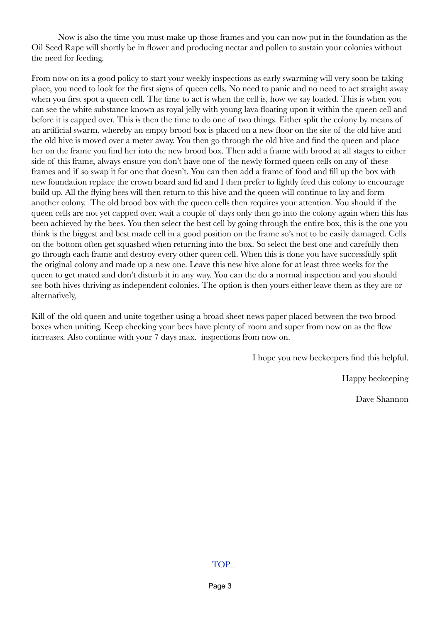Now is also the time you must make up those frames and you can now put in the foundation as the Oil Seed Rape will shortly be in flower and producing nectar and pollen to sustain your colonies without the need for feeding.

From now on its a good policy to start your weekly inspections as early swarming will very soon be taking place, you need to look for the first signs of queen cells. No need to panic and no need to act straight away when you first spot a queen cell. The time to act is when the cell is, how we say loaded. This is when you can see the white substance known as royal jelly with young lava floating upon it within the queen cell and before it is capped over. This is then the time to do one of two things. Either split the colony by means of an artificial swarm, whereby an empty brood box is placed on a new floor on the site of the old hive and the old hive is moved over a meter away. You then go through the old hive and find the queen and place her on the frame you find her into the new brood box. Then add a frame with brood at all stages to either side of this frame, always ensure you don't have one of the newly formed queen cells on any of these frames and if so swap it for one that doesn't. You can then add a frame of food and fill up the box with new foundation replace the crown board and lid and I then prefer to lightly feed this colony to encourage build up. All the flying bees will then return to this hive and the queen will continue to lay and form another colony. The old brood box with the queen cells then requires your attention. You should if the queen cells are not yet capped over, wait a couple of days only then go into the colony again when this has been achieved by the bees. You then select the best cell by going through the entire box, this is the one you think is the biggest and best made cell in a good position on the frame so's not to be easily damaged. Cells on the bottom often get squashed when returning into the box. So select the best one and carefully then go through each frame and destroy every other queen cell. When this is done you have successfully split the original colony and made up a new one. Leave this new hive alone for at least three weeks for the queen to get mated and don't disturb it in any way. You can the do a normal inspection and you should see both hives thriving as independent colonies. The option is then yours either leave them as they are or alternatively,

Kill of the old queen and unite together using a broad sheet news paper placed between the two brood boxes when uniting. Keep checking your bees have plenty of room and super from now on as the flow increases. Also continue with your 7 days max. inspections from now on.

I hope you new beekeepers find this helpful.

Happy beekeeping

Dave Shannon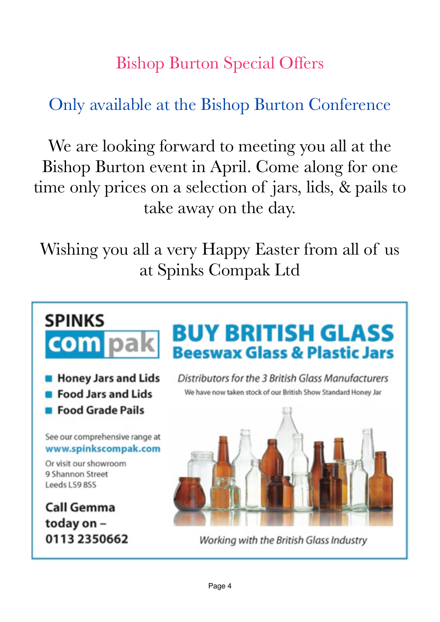### <span id="page-3-0"></span>Bishop Burton Special Offers

### Only available at the Bishop Burton Conference

We are looking forward to meeting you all at the Bishop Burton event in April. Come along for one time only prices on a selection of jars, lids, & pails to take away on the day.

Wishing you all a very Happy Easter from all of us at Spinks Compak Ltd

## **SPINKS com** pak

- **Honey Jars and Lids**
- **Food Jars and Lids**
- **E** Food Grade Pails

See our comprehensive range at www.spinkscompak.com

Or visit our showroom 9 Shannon Street Leeds LS9 8SS

**Call Gemma** today on -0113 2350662

## **BUY BRITISH GLASS Beeswax Glass & Plastic Jars**

Distributors for the 3 British Glass Manufacturers We have now taken stock of our British Show Standard Honey Jar



Working with the British Glass Industry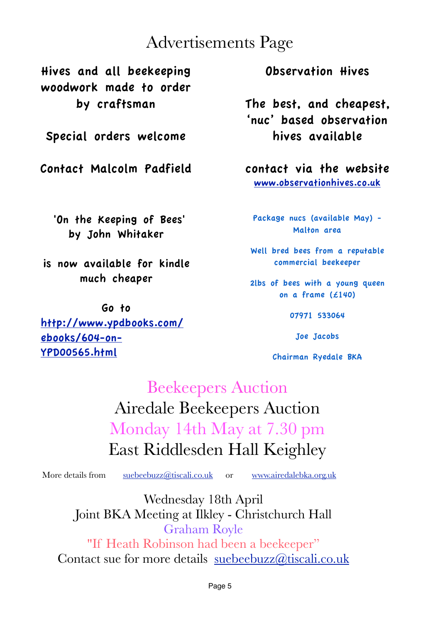### <span id="page-4-0"></span>Advertisements Page

Hives and all beekeeping woodwork made to order by craftsman

Special orders welcome

Contact Malcolm Padfield

 'On the Keeping of Bees' by John Whitaker

is now available for kindle much cheaper

Go to [http://www.ypdbooks.com/](http://www.ypdbooks.com/ebooks/604-on-YPD00565.html) [ebooks/604-on-](http://www.ypdbooks.com/ebooks/604-on-YPD00565.html)[YPD00565.html](http://www.ypdbooks.com/ebooks/604-on-YPD00565.html)

Observation Hives

The best, and cheapest, 'nuc' based observation hives available

contact via the website [www.observationhives.co.uk](http://www.observationhives.co.uk)

Package nucs (available May) - Malton area

Well bred bees from a reputable commercial beekeeper

2lbs of bees with a young queen on a frame (£140)

07971 533064

Joe Jacobs

Chairman Ryedale BKA

### Beekeepers Auction Airedale Beekeepers Auction Monday 14th May at 7.30 pm East Riddlesden Hall Keighley

More details from [suebeebuzz@tiscali.co.uk](mailto:suebeebuzz@tiscali.co.uk) or [www.airedalebka.org.uk](http://www.airedalebka.org.uk)

Wednesday 18th April Joint BKA Meeting at Ilkley - Christchurch Hall Graham Royle "If Heath Robinson had been a beekeeper"

Contact sue for more details [suebeebuzz@tiscali.co.uk](mailto:suebeebuzz@tiscali.co.uk)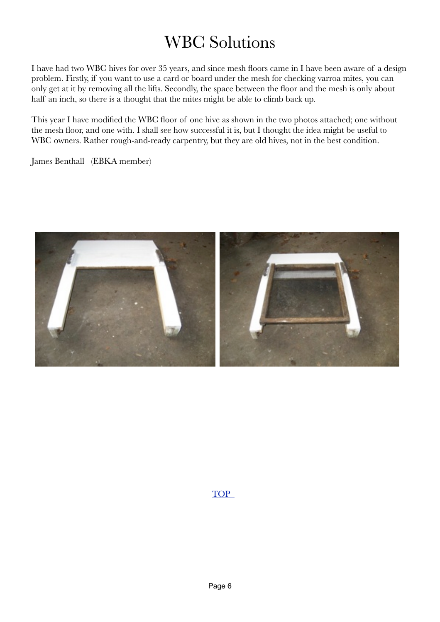### WBC Solutions

I have had two WBC hives for over 35 years, and since mesh floors came in I have been aware of a design problem. Firstly, if you want to use a card or board under the mesh for checking varroa mites, you can only get at it by removing all the lifts. Secondly, the space between the floor and the mesh is only about half an inch, so there is a thought that the mites might be able to climb back up.

This year I have modified the WBC floor of one hive as shown in the two photos attached; one without the mesh floor, and one with. I shall see how successful it is, but I thought the idea might be useful to WBC owners. Rather rough-and-ready carpentry, but they are old hives, not in the best condition.

James Benthall (EBKA member)

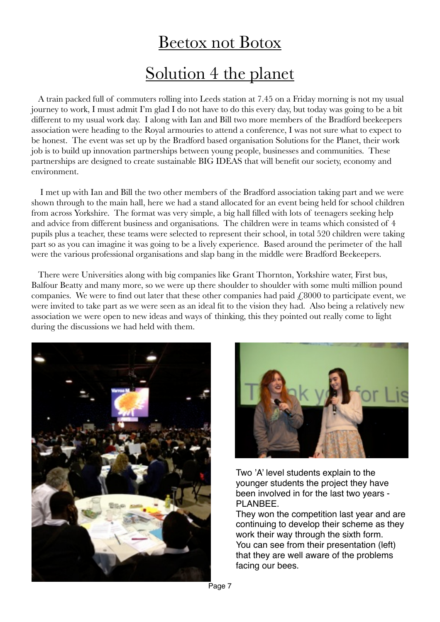## <span id="page-6-0"></span>Beetox not Botox Solution 4 the planet

 A train packed full of commuters rolling into Leeds station at 7.45 on a Friday morning is not my usual journey to work, I must admit I'm glad I do not have to do this every day, but today was going to be a bit different to my usual work day. I along with Ian and Bill two more members of the Bradford beekeepers association were heading to the Royal armouries to attend a conference, I was not sure what to expect to be honest. The event was set up by the Bradford based organisation Solutions for the Planet, their work job is to build up innovation partnerships between young people, businesses and communities. These partnerships are designed to create sustainable BIG IDEAS that will benefit our society, economy and environment.

 I met up with Ian and Bill the two other members of the Bradford association taking part and we were shown through to the main hall, here we had a stand allocated for an event being held for school children from across Yorkshire. The format was very simple, a big hall filled with lots of teenagers seeking help and advice from different business and organisations. The children were in teams which consisted of 4 pupils plus a teacher, these teams were selected to represent their school, in total 520 children were taking part so as you can imagine it was going to be a lively experience. Based around the perimeter of the hall were the various professional organisations and slap bang in the middle were Bradford Beekeepers.

 There were Universities along with big companies like Grant Thornton, Yorkshire water, First bus, Balfour Beatty and many more, so we were up there shoulder to shoulder with some multi million pound companies. We were to find out later that these other companies had paid  $\ell$ 8000 to participate event, we were invited to take part as we were seen as an ideal fit to the vision they had. Also being a relatively new association we were open to new ideas and ways of thinking, this they pointed out really come to light during the discussions we had held with them.





Two 'A' level students explain to the younger students the project they have been involved in for the last two years - PLANBEE.

They won the competition last year and are continuing to develop their scheme as they work their way through the sixth form. You can see from their presentation (left) that they are well aware of the problems facing our bees.

Page 7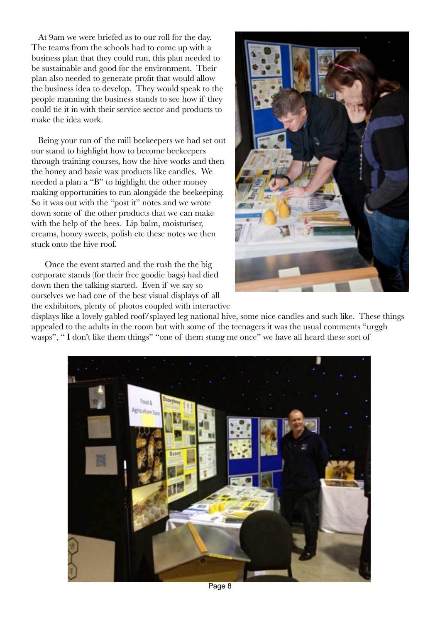At 9am we were briefed as to our roll for the day. The teams from the schools had to come up with a business plan that they could run, this plan needed to be sustainable and good for the environment. Their plan also needed to generate profit that would allow the business idea to develop. They would speak to the people manning the business stands to see how if they could tie it in with their service sector and products to make the idea work.

 Being your run of the mill beekeepers we had set out our stand to highlight how to become beekeepers through training courses, how the hive works and then the honey and basic wax products like candles. We needed a plan a "B" to highlight the other money making opportunities to run alongside the beekeeping. So it was out with the "post it" notes and we wrote down some of the other products that we can make with the help of the bees. Lip balm, moisturiser, creams, honey sweets, polish etc these notes we then stuck onto the hive roof.

 Once the event started and the rush the the big corporate stands (for their free goodie bags) had died down then the talking started. Even if we say so ourselves we had one of the best visual displays of all the exhibitors, plenty of photos coupled with interactive



displays like a lovely gabled roof/splayed leg national hive, some nice candles and such like. These things appealed to the adults in the room but with some of the teenagers it was the usual comments "urggh wasps", " I don't like them things" "one of them stung me once" we have all heard these sort of

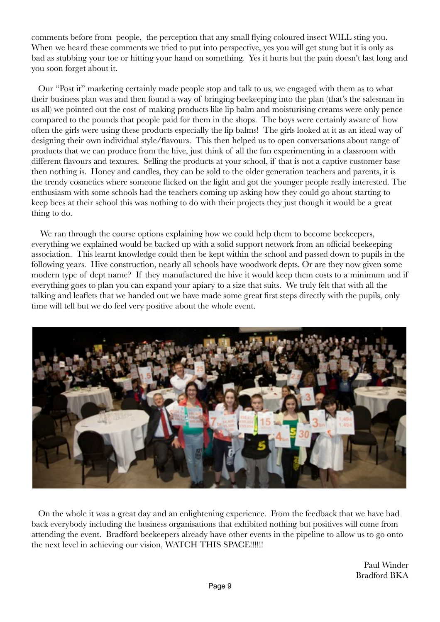comments before from people, the perception that any small flying coloured insect WILL sting you. When we heard these comments we tried to put into perspective, yes you will get stung but it is only as bad as stubbing your toe or hitting your hand on something. Yes it hurts but the pain doesn't last long and you soon forget about it.

 Our "Post it" marketing certainly made people stop and talk to us, we engaged with them as to what their business plan was and then found a way of bringing beekeeping into the plan (that's the salesman in us all) we pointed out the cost of making products like lip balm and moisturising creams were only pence compared to the pounds that people paid for them in the shops. The boys were certainly aware of how often the girls were using these products especially the lip balms! The girls looked at it as an ideal way of designing their own individual style/flavours. This then helped us to open conversations about range of products that we can produce from the hive, just think of all the fun experimenting in a classroom with different flavours and textures. Selling the products at your school, if that is not a captive customer base then nothing is. Honey and candles, they can be sold to the older generation teachers and parents, it is the trendy cosmetics where someone flicked on the light and got the younger people really interested. The enthusiasm with some schools had the teachers coming up asking how they could go about starting to keep bees at their school this was nothing to do with their projects they just though it would be a great thing to do.

We ran through the course options explaining how we could help them to become beekeepers, everything we explained would be backed up with a solid support network from an official beekeeping association. This learnt knowledge could then be kept within the school and passed down to pupils in the following years. Hive construction, nearly all schools have woodwork depts. Or are they now given some modern type of dept name? If they manufactured the hive it would keep them costs to a minimum and if everything goes to plan you can expand your apiary to a size that suits. We truly felt that with all the talking and leaflets that we handed out we have made some great first steps directly with the pupils, only time will tell but we do feel very positive about the whole event.



 On the whole it was a great day and an enlightening experience. From the feedback that we have had back everybody including the business organisations that exhibited nothing but positives will come from attending the event. Bradford beekeepers already have other events in the pipeline to allow us to go onto the next level in achieving our vision, WATCH THIS SPACE!!!!!!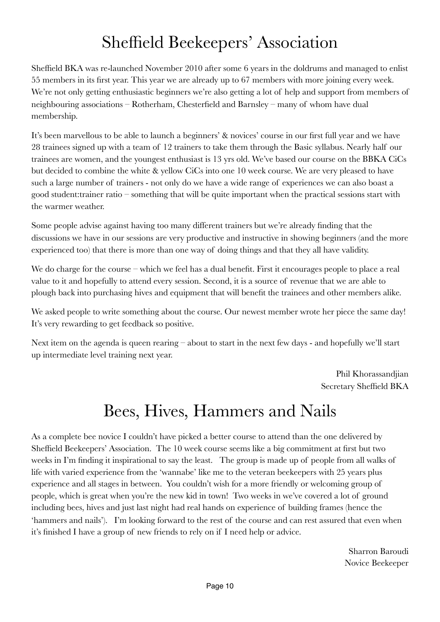### <span id="page-9-0"></span>Sheffield Beekeepers' Association

Sheffield BKA was re-launched November 2010 after some 6 years in the doldrums and managed to enlist 55 members in its first year. This year we are already up to 67 members with more joining every week. We're not only getting enthusiastic beginners we're also getting a lot of help and support from members of neighbouring associations – Rotherham, Chesterfield and Barnsley – many of whom have dual membership.

It's been marvellous to be able to launch a beginners' & novices' course in our first full year and we have 28 trainees signed up with a team of 12 trainers to take them through the Basic syllabus. Nearly half our trainees are women, and the youngest enthusiast is 13 yrs old. We've based our course on the BBKA CiCs but decided to combine the white & yellow CiCs into one 10 week course. We are very pleased to have such a large number of trainers - not only do we have a wide range of experiences we can also boast a good student:trainer ratio – something that will be quite important when the practical sessions start with the warmer weather.

Some people advise against having too many different trainers but we're already finding that the discussions we have in our sessions are very productive and instructive in showing beginners (and the more experienced too) that there is more than one way of doing things and that they all have validity.

We do charge for the course – which we feel has a dual benefit. First it encourages people to place a real value to it and hopefully to attend every session. Second, it is a source of revenue that we are able to plough back into purchasing hives and equipment that will benefit the trainees and other members alike.

We asked people to write something about the course. Our newest member wrote her piece the same day! It's very rewarding to get feedback so positive.

Next item on the agenda is queen rearing – about to start in the next few days - and hopefully we'll start up intermediate level training next year.

> Phil Khorassandjian Secretary Sheffield BKA

### Bees, Hives, Hammers and Nails

As a complete bee novice I couldn't have picked a better course to attend than the one delivered by Sheffield Beekeepers' Association. The 10 week course seems like a big commitment at first but two weeks in I'm finding it inspirational to say the least. The group is made up of people from all walks of life with varied experience from the 'wannabe' like me to the veteran beekeepers with 25 years plus experience and all stages in between. You couldn't wish for a more friendly or welcoming group of people, which is great when you're the new kid in town! Two weeks in we've covered a lot of ground including bees, hives and just last night had real hands on experience of building frames (hence the 'hammers and nails'). I'm looking forward to the rest of the course and can rest assured that even when it's finished I have a group of new friends to rely on if I need help or advice.

> Sharron Baroudi Novice Beekeeper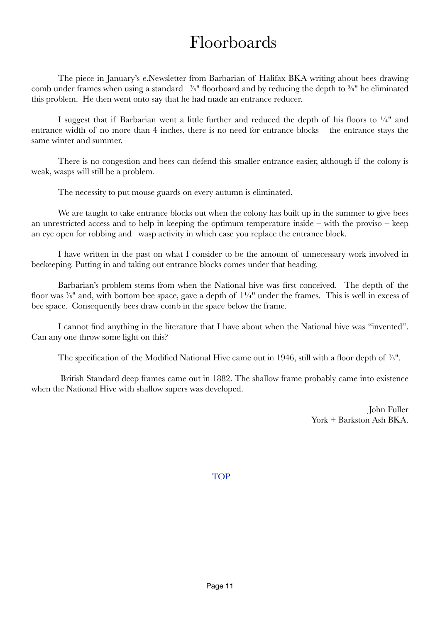### <span id="page-10-0"></span>Floorboards

The piece in January's e.Newsletter from Barbarian of Halifax BKA writing about bees drawing comb under frames when using a standard <sup>7/8</sup> floorboard and by reducing the depth to <sup>3/8</sup> he eliminated this problem. He then went onto say that he had made an entrance reducer.

I suggest that if Barbarian went a little further and reduced the depth of his floors to  $\frac{1}{4}$ " and entrance width of no more than 4 inches, there is no need for entrance blocks – the entrance stays the same winter and summer.

There is no congestion and bees can defend this smaller entrance easier, although if the colony is weak, wasps will still be a problem.

The necessity to put mouse guards on every autumn is eliminated.

We are taught to take entrance blocks out when the colony has built up in the summer to give bees an unrestricted access and to help in keeping the optimum temperature inside – with the proviso – keep an eye open for robbing and wasp activity in which case you replace the entrance block.

I have written in the past on what I consider to be the amount of unnecessary work involved in beekeeping. Putting in and taking out entrance blocks comes under that heading.

Barbarian's problem stems from when the National hive was first conceived. The depth of the floor was  $\frac{7}{8}$ " and, with bottom bee space, gave a depth of  $1\frac{1}{4}$ " under the frames. This is well in excess of bee space. Consequently bees draw comb in the space below the frame.

I cannot find anything in the literature that I have about when the National hive was "invented". Can any one throw some light on this?

The specification of the Modified National Hive came out in 1946, still with a floor depth of  $\frac{7}{8}$ ".

 British Standard deep frames came out in 1882. The shallow frame probably came into existence when the National Hive with shallow supers was developed.

> John Fuller York + Barkston Ash BKA.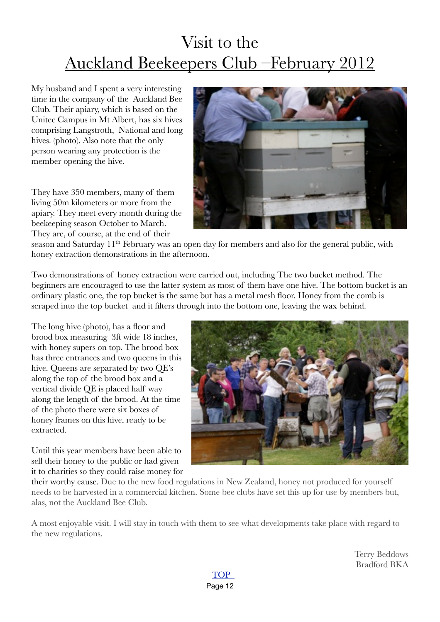### Visit to the Auckland Beekeepers Club –February 2012

My husband and I spent a very interesting time in the company of the Auckland Bee Club. Their apiary, which is based on the Unitec Campus in Mt Albert, has six hives comprising Langstroth, National and long hives. (photo). Also note that the only person wearing any protection is the member opening the hive.

They have 350 members, many of them living 50m kilometers or more from the apiary. They meet every month during the beekeeping season October to March. They are, of course, at the end of their

<span id="page-11-0"></span>

season and Saturday 11<sup>th</sup> February was an open day for members and also for the general public, with honey extraction demonstrations in the afternoon.

Two demonstrations of honey extraction were carried out, including The two bucket method. The beginners are encouraged to use the latter system as most of them have one hive. The bottom bucket is an ordinary plastic one, the top bucket is the same but has a metal mesh floor. Honey from the comb is scraped into the top bucket and it filters through into the bottom one, leaving the wax behind.

The long hive (photo), has a floor and brood box measuring 3ft wide 18 inches, with honey supers on top. The brood box has three entrances and two queens in this hive. Queens are separated by two QE's along the top of the brood box and a vertical divide QE is placed half way along the length of the brood. At the time of the photo there were six boxes of honey frames on this hive, ready to be extracted.

Until this year members have been able to sell their honey to the public or had given it to charities so they could raise money for



their worthy cause. Due to the new food regulations in New Zealand, honey not produced for yourself needs to be harvested in a commercial kitchen. Some bee clubs have set this up for use by members but, alas, not the Auckland Bee Club.

A most enjoyable visit. I will stay in touch with them to see what developments take place with regard to the new regulations.

> Terry Beddows Bradford BKA

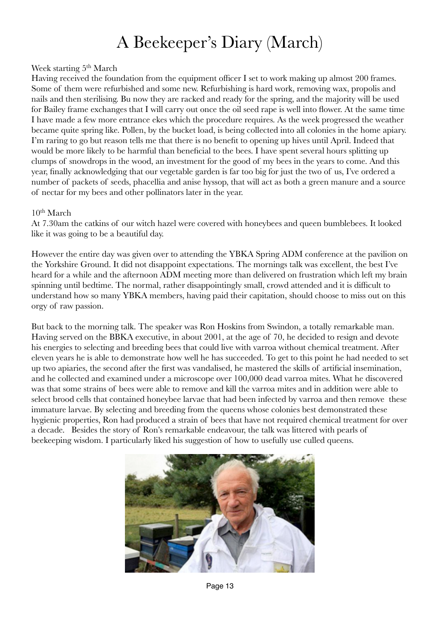### <span id="page-12-0"></span>A Beekeeper's Diary (March)

#### Week starting 5<sup>th</sup> March

Having received the foundation from the equipment officer I set to work making up almost 200 frames. Some of them were refurbished and some new. Refurbishing is hard work, removing wax, propolis and nails and then sterilising. Bu now they are racked and ready for the spring, and the majority will be used for Bailey frame exchanges that I will carry out once the oil seed rape is well into flower. At the same time I have made a few more entrance ekes which the procedure requires. As the week progressed the weather became quite spring like. Pollen, by the bucket load, is being collected into all colonies in the home apiary. I'm raring to go but reason tells me that there is no benefit to opening up hives until April. Indeed that would be more likely to be harmful than beneficial to the bees. I have spent several hours splitting up clumps of snowdrops in the wood, an investment for the good of my bees in the years to come. And this year, finally acknowledging that our vegetable garden is far too big for just the two of us, I've ordered a number of packets of seeds, phacellia and anise hyssop, that will act as both a green manure and a source of nectar for my bees and other pollinators later in the year.

#### $10<sup>th</sup> March$

At 7.30am the catkins of our witch hazel were covered with honeybees and queen bumblebees. It looked like it was going to be a beautiful day.

However the entire day was given over to attending the YBKA Spring ADM conference at the pavilion on the Yorkshire Ground. It did not disappoint expectations. The mornings talk was excellent, the best I've heard for a while and the afternoon ADM meeting more than delivered on frustration which left my brain spinning until bedtime. The normal, rather disappointingly small, crowd attended and it is difficult to understand how so many YBKA members, having paid their capitation, should choose to miss out on this orgy of raw passion.

But back to the morning talk. The speaker was Ron Hoskins from Swindon, a totally remarkable man. Having served on the BBKA executive, in about 2001, at the age of 70, he decided to resign and devote his energies to selecting and breeding bees that could live with varroa without chemical treatment. After eleven years he is able to demonstrate how well he has succeeded. To get to this point he had needed to set up two apiaries, the second after the first was vandalised, he mastered the skills of artificial insemination, and he collected and examined under a microscope over 100,000 dead varroa mites. What he discovered was that some strains of bees were able to remove and kill the varroa mites and in addition were able to select brood cells that contained honeybee larvae that had been infected by varroa and then remove these immature larvae. By selecting and breeding from the queens whose colonies best demonstrated these hygienic properties, Ron had produced a strain of bees that have not required chemical treatment for over a decade. Besides the story of Ron's remarkable endeavour, the talk was littered with pearls of beekeeping wisdom. I particularly liked his suggestion of how to usefully use culled queens.

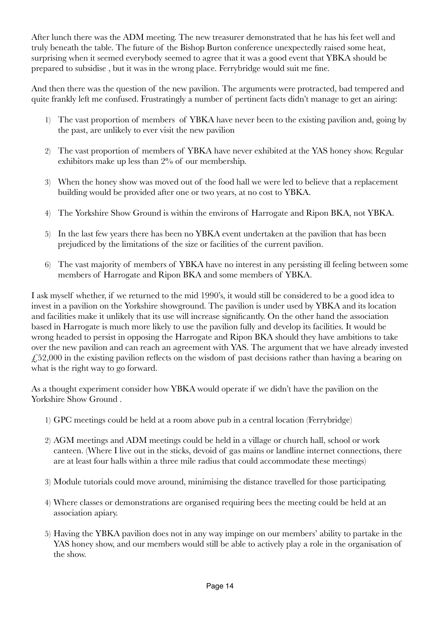After lunch there was the ADM meeting. The new treasurer demonstrated that he has his feet well and truly beneath the table. The future of the Bishop Burton conference unexpectedly raised some heat, surprising when it seemed everybody seemed to agree that it was a good event that YBKA should be prepared to subsidise , but it was in the wrong place. Ferrybridge would suit me fine.

And then there was the question of the new pavilion. The arguments were protracted, bad tempered and quite frankly left me confused. Frustratingly a number of pertinent facts didn't manage to get an airing:

- 1) The vast proportion of members of YBKA have never been to the existing pavilion and, going by the past, are unlikely to ever visit the new pavilion
- 2) The vast proportion of members of YBKA have never exhibited at the YAS honey show. Regular exhibitors make up less than 2% of our membership.
- 3) When the honey show was moved out of the food hall we were led to believe that a replacement building would be provided after one or two years, at no cost to YBKA.
- 4) The Yorkshire Show Ground is within the environs of Harrogate and Ripon BKA, not YBKA.
- 5) In the last few years there has been no YBKA event undertaken at the pavilion that has been prejudiced by the limitations of the size or facilities of the current pavilion.
- 6) The vast majority of members of YBKA have no interest in any persisting ill feeling between some members of Harrogate and Ripon BKA and some members of YBKA.

I ask myself whether, if we returned to the mid 1990's, it would still be considered to be a good idea to invest in a pavilion on the Yorkshire showground. The pavilion is under used by YBKA and its location and facilities make it unlikely that its use will increase significantly. On the other hand the association based in Harrogate is much more likely to use the pavilion fully and develop its facilities. It would be wrong headed to persist in opposing the Harrogate and Ripon BKA should they have ambitions to take over the new pavilion and can reach an agreement with YAS. The argument that we have already invested £52,000 in the existing pavilion reflects on the wisdom of past decisions rather than having a bearing on what is the right way to go forward.

As a thought experiment consider how YBKA would operate if we didn't have the pavilion on the Yorkshire Show Ground .

- 1) GPC meetings could be held at a room above pub in a central location (Ferrybridge)
- 2) AGM meetings and ADM meetings could be held in a village or church hall, school or work canteen. (Where I live out in the sticks, devoid of gas mains or landline internet connections, there are at least four halls within a three mile radius that could accommodate these meetings)
- 3) Module tutorials could move around, minimising the distance travelled for those participating.
- 4) Where classes or demonstrations are organised requiring bees the meeting could be held at an association apiary.
- 5) Having the YBKA pavilion does not in any way impinge on our members' ability to partake in the YAS honey show, and our members would still be able to actively play a role in the organisation of the show.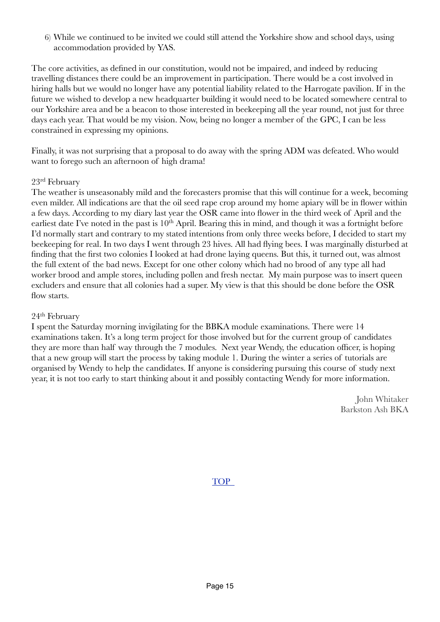6) While we continued to be invited we could still attend the Yorkshire show and school days, using accommodation provided by YAS.

The core activities, as defined in our constitution, would not be impaired, and indeed by reducing travelling distances there could be an improvement in participation. There would be a cost involved in hiring halls but we would no longer have any potential liability related to the Harrogate pavilion. If in the future we wished to develop a new headquarter building it would need to be located somewhere central to our Yorkshire area and be a beacon to those interested in beekeeping all the year round, not just for three days each year. That would be my vision. Now, being no longer a member of the GPC, I can be less constrained in expressing my opinions.

Finally, it was not surprising that a proposal to do away with the spring ADM was defeated. Who would want to forego such an afternoon of high drama!

#### 23rd February

The weather is unseasonably mild and the forecasters promise that this will continue for a week, becoming even milder. All indications are that the oil seed rape crop around my home apiary will be in flower within a few days. According to my diary last year the OSR came into flower in the third week of April and the earliest date I've noted in the past is 10<sup>th</sup> April. Bearing this in mind, and though it was a fortnight before I'd normally start and contrary to my stated intentions from only three weeks before, I decided to start my beekeeping for real. In two days I went through 23 hives. All had flying bees. I was marginally disturbed at finding that the first two colonies I looked at had drone laying queens. But this, it turned out, was almost the full extent of the bad news. Except for one other colony which had no brood of any type all had worker brood and ample stores, including pollen and fresh nectar. My main purpose was to insert queen excluders and ensure that all colonies had a super. My view is that this should be done before the OSR flow starts.

#### 24th February

I spent the Saturday morning invigilating for the BBKA module examinations. There were 14 examinations taken. It's a long term project for those involved but for the current group of candidates they are more than half way through the 7 modules. Next year Wendy, the education officer, is hoping that a new group will start the process by taking module 1. During the winter a series of tutorials are organised by Wendy to help the candidates. If anyone is considering pursuing this course of study next year, it is not too early to start thinking about it and possibly contacting Wendy for more information.

> John Whitaker Barkston Ash BKA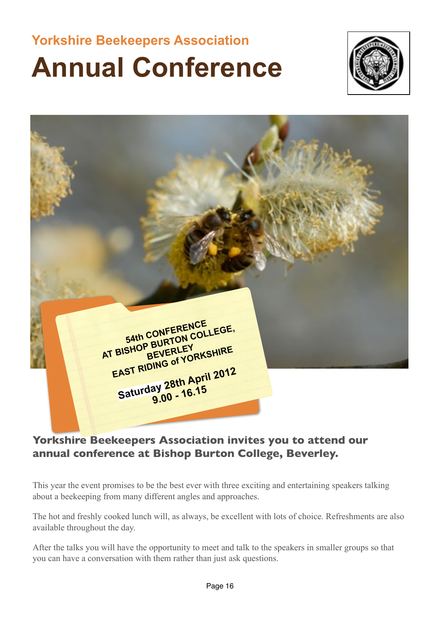## **Yorkshire Beekeepers Association Annual Conference**



<span id="page-15-0"></span>

#### **Yorkshire Beekeepers Association invites you to attend our annual conference at Bishop Burton College, Beverley.**

This year the event promises to be the best ever with three exciting and entertaining speakers talking about a beekeeping from many different angles and approaches.

The hot and freshly cooked lunch will, as always, be excellent with lots of choice. Refreshments are also available throughout the day.

After the talks you will have the opportunity to meet and talk to the speakers in smaller groups so that you can have a conversation with them rather than just ask questions.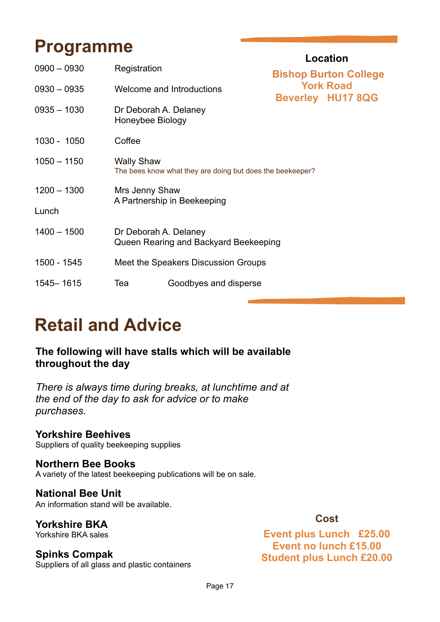### **Programme**

|               | <b>Location</b>                                                                |                           |                                                                              |  |
|---------------|--------------------------------------------------------------------------------|---------------------------|------------------------------------------------------------------------------|--|
| $0900 - 0930$ | Registration                                                                   |                           | <b>Bishop Burton College</b><br><b>York Road</b><br><b>Beverley HU17 8QG</b> |  |
| $0930 - 0935$ |                                                                                | Welcome and Introductions |                                                                              |  |
| $0935 - 1030$ | Dr Deborah A. Delaney<br>Honeybee Biology                                      |                           |                                                                              |  |
| 1030 - 1050   | Coffee                                                                         |                           |                                                                              |  |
| $1050 - 1150$ | <b>Wally Shaw</b><br>The bees know what they are doing but does the beekeeper? |                           |                                                                              |  |
| $1200 - 1300$ | Mrs Jenny Shaw<br>A Partnership in Beekeeping                                  |                           |                                                                              |  |
| Lunch         |                                                                                |                           |                                                                              |  |
| $1400 - 1500$ | Dr Deborah A. Delaney<br>Queen Rearing and Backyard Beekeeping                 |                           |                                                                              |  |
| 1500 - 1545   | Meet the Speakers Discussion Groups                                            |                           |                                                                              |  |
| 1545 - 1615   | Tea                                                                            | Goodbyes and disperse     |                                                                              |  |

## **Retail and Advice**

#### **The following will have stalls which will be available throughout the day**

*There is always time during breaks, at lunchtime and at the end of the day to ask for advice or to make purchases.*

#### **Yorkshire Beehives**

Suppliers of quality beekeeping supplies

#### **Northern Bee Books**

A variety of the latest beekeeping publications will be on sale.

#### **National Bee Unit**

An information stand will be available.

#### **Yorkshire BKA** Yorkshire BKA sales

#### **Spinks Compak**

Suppliers of all glass and plastic containers

#### **Cost**

**Event plus Lunch £25.00 Event no lunch £15.00 Student plus Lunch £20.00**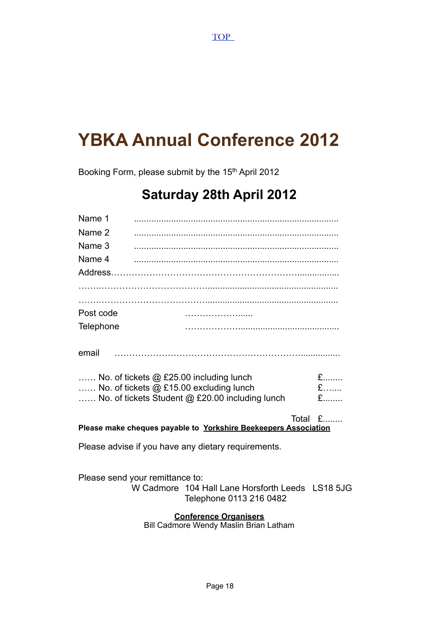## **YBKA Annual Conference 2012**

Booking Form, please submit by the 15<sup>th</sup> April 2012

### **Saturday 28th April 2012**

| Name 1                          |                                                     |                                                                 |             |
|---------------------------------|-----------------------------------------------------|-----------------------------------------------------------------|-------------|
| Name 2                          |                                                     |                                                                 |             |
| Name 3                          |                                                     |                                                                 |             |
| Name 4                          |                                                     |                                                                 |             |
|                                 |                                                     |                                                                 |             |
|                                 |                                                     |                                                                 |             |
|                                 |                                                     |                                                                 |             |
| Post code                       |                                                     |                                                                 |             |
| Telephone                       |                                                     |                                                                 |             |
| email                           |                                                     |                                                                 |             |
|                                 | No. of tickets @ £25.00 including lunch             |                                                                 | $E$         |
|                                 | No. of tickets @ £15.00 excluding lunch             |                                                                 | £           |
|                                 | No. of tickets Student @ £20.00 including lunch     |                                                                 | $f_{\dots}$ |
|                                 |                                                     | Please make cheques payable to Yorkshire Beekeepers Association | Total £     |
|                                 | Please advise if you have any dietary requirements. |                                                                 |             |
| Please send your remittance to: |                                                     | W Cadmore 104 Hall Lane Horsforth Leeds LS18 5JG                |             |

Telephone 0113 216 0482

**Conference Organisers**

Bill Cadmore Wendy Maslin Brian Latham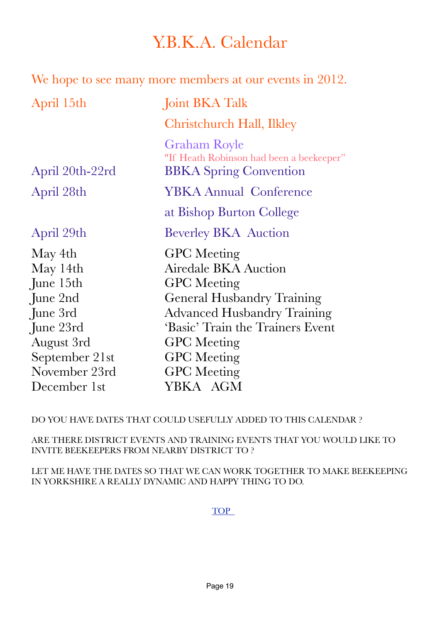### <span id="page-18-0"></span>Y.B.K.A. Calendar

| We hope to see many more members at our events in 2012.                                          |  |  |
|--------------------------------------------------------------------------------------------------|--|--|
| Joint BKA Talk                                                                                   |  |  |
| Christchurch Hall, Ilkley                                                                        |  |  |
| <b>Graham Royle</b><br>"If Heath Robinson had been a beekeeper"<br><b>BBKA</b> Spring Convention |  |  |
| <b>YBKA Annual Conference</b>                                                                    |  |  |
| at Bishop Burton College                                                                         |  |  |
| <b>Beverley BKA</b> Auction                                                                      |  |  |
| <b>GPC</b> Meeting<br><b>Airedale BKA Auction</b><br><b>GPC</b> Meeting                          |  |  |
| <b>General Husbandry Training</b><br><b>Advanced Husbandry Training</b>                          |  |  |
| 'Basic' Train the Trainers Event<br><b>GPC</b> Meeting                                           |  |  |
| <b>GPC</b> Meeting<br><b>GPC</b> Meeting<br>YBKA AGM                                             |  |  |
|                                                                                                  |  |  |

DO YOU HAVE DATES THAT COULD USEFULLY ADDED TO THIS CALENDAR ?

ARE THERE DISTRICT EVENTS AND TRAINING EVENTS THAT YOU WOULD LIKE TO INVITE BEEKEEPERS FROM NEARBY DISTRICT TO ?

LET ME HAVE THE DATES SO THAT WE CAN WORK TOGETHER TO MAKE BEEKEEPING IN YORKSHIRE A REALLY DYNAMIC AND HAPPY THING TO DO.